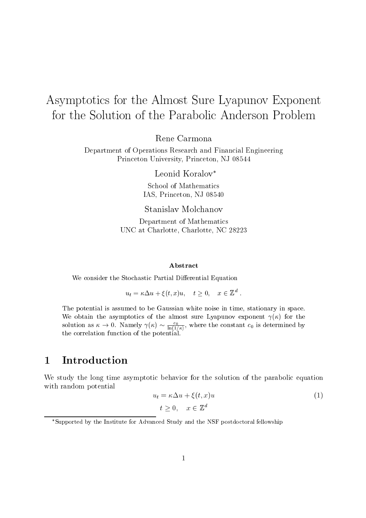# Asymptotics for the Almost Sure Lyapunov Exponent for the Solution of the Parabolic Anderson Problem

Rene Carmona

Department of Operations Research and Financial Engineering Princeton University, Princeton, NJ 08544

Leonid Koralov<sup>\*</sup>

School of Mathematics IAS, Princeton, NJ 08540

Stanislav Molchanov

Department of Mathematics UNC at Charlotte, Charlotte, NC 28223

### $A$ bstract

We consider the Stochastic Partial Differential Equation

 $u_t = \kappa \Delta u + \xi(t, x)u, \quad t \geq 0, \quad x \in \mathbb{Z}^d.$ 

The potential is assumed to be Gaussian white noise in time, stationary in space. We obtain the asymptotics of the almost sure Lyapunov exponent  $\gamma(\kappa)$  for the solution as  $\kappa \to 0$ . Namely  $\gamma(\kappa) \sim \frac{c_0}{\ln(1/\kappa)}$ , where the constant  $c_0$  is determined by the correlation function of the potential.

#### Introduction  $\mathbf{1}$

We study the long time asymptotic behavior for the solution of the parabolic equation with random potential

$$
u_t = \kappa \Delta u + \xi(t, x)u
$$
  
\n
$$
t > 0, \quad x \in \mathbb{Z}^d
$$
 (1)

<sup>\*</sup>Supported by the Institute for Advanced Study and the NSF postdoctoral fellowship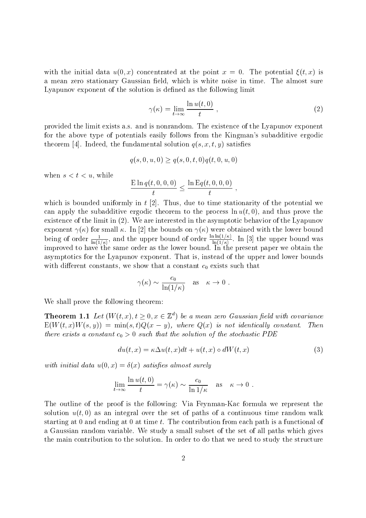with the initial data  $u(0, x)$  concentrated at the point  $x = 0$ . The potential  $\xi(t, x)$  is a mean zero stationary Gaussian field, which is white noise in time. The almost sure Lyapunov exponent of the solution is defined as the following limit

$$
\gamma(\kappa) = \lim_{t \to \infty} \frac{\ln u(t, 0)}{t} \;, \tag{2}
$$

provided the limit exists a.s. and is nonrandom. The existence of the Lyapunov exponent for the above type of potentials easily follows from the Kingman's subadditive ergodic theorem [4]. Indeed, the fundamental solution  $q(s, x, t, y)$  satisfies

$$
q(s,0,u,0) \ge q(s,0,t,0)q(t,0,u,0)
$$

when  $s < t < u$ , while

$$
\frac{\mathrm{E}\ln q(t,0,0,0)}{t} \le \frac{\ln \mathrm{E}q(t,0,0,0)}{t}
$$

which is bounded uniformly in  $t$  [2]. Thus, due to time stationarity of the potential we can apply the subadditive ergodic theorem to the process  $\ln u(t,0)$ , and thus prove the existence of the limit in  $(2)$ . We are interested in the asymptotic behavior of the Lyapunov exponent  $\gamma(\kappa)$  for small  $\kappa$ . In [2] the bounds on  $\gamma(\kappa)$  were obtained with the lower bound being of order  $\frac{1}{\ln(1/\kappa)}$ , and the upper bound of order  $\frac{\ln \ln(1/\kappa)}{\ln(1/\kappa)}$ . In [3] the upper bound was improved to have the same order as the lower bound. In the present paper we obtain the asymptotics for the Lyapunov exponent. That is, instead of the upper and lower bounds with different constants, we show that a constant  $c_0$  exists such that

$$
\gamma(\kappa) \sim \frac{c_0}{\ln(1/\kappa)}
$$
 as  $\kappa \to 0$ .

We shall prove the following theorem:

**Theorem 1.1** Let  $(W(t, x), t \ge 0, x \in \mathbb{Z}^d)$  be a mean zero Gaussian field with covariance  $E(W(t,x)W(s,y)) = min(s,t)Q(x-y)$ , where  $Q(x)$  is not identically constant. Then there exists a constant  $c_0 > 0$  such that the solution of the stochastic PDE

$$
du(t,x) = \kappa \Delta u(t,x)dt + u(t,x) \circ dW(t,x) \tag{3}
$$

with initial data  $u(0, x) = \delta(x)$  satisfies almost surely

$$
\lim_{t \to \infty} \frac{\ln u(t,0)}{t} = \gamma(\kappa) \sim \frac{c_0}{\ln 1/\kappa} \quad \text{as} \quad \kappa \to 0
$$

The outline of the proof is the following: Via Feynman-Kac formula we represent the solution  $u(t,0)$  as an integral over the set of paths of a continuous time random walk starting at  $0$  and ending at  $0$  at time  $t$ . The contribution from each path is a functional of a Gaussian random variable. We study a small subset of the set of all paths which gives the main contribution to the solution. In order to do that we need to study the structure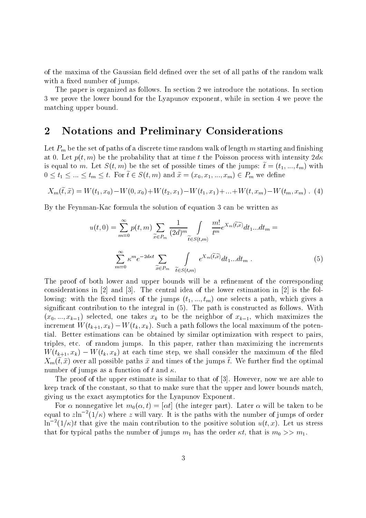of the maxima of the Gaussian field defined over the set of all paths of the random walk with a fixed number of jumps.

The paper is organized as follows. In section 2 we introduce the notations. In section 3 we prove the lower bound for the Lyapunov exponent, while in section 4 we prove the matching upper bound.

#### $\overline{2}$ **Notations and Preliminary Considerations**

Let  $P_m$  be the set of paths of a discrete time random walk of length m starting and finishing at 0. Let  $p(t, m)$  be the probability that at time t the Poisson process with intensity  $2d\kappa$ is equal to m. Let  $S(t, m)$  be the set of possible times of the jumps:  $\tilde{t} = (t_1, ..., t_m)$  with  $0 \leq t_1 \leq ... \leq t_m \leq t$ . For  $\tilde{t} \in S(t,m)$  and  $\tilde{x} = (x_0, x_1, ..., x_m) \in P_m$  we define

$$
X_m(\tilde{t}, \tilde{x}) = W(t_1, x_0) - W(0, x_0) + W(t_2, x_1) - W(t_1, x_1) + \ldots + W(t, x_m) - W(t_m, x_m) \tag{4}
$$

By the Feynman-Kac formula the solution of equation 3 can be written as

$$
u(t,0) = \sum_{m=0}^{\infty} p(t,m) \sum_{\widetilde{x} \in P_m} \frac{1}{(2d)^m} \int_{\widetilde{t} \in S(t,m)} \frac{m!}{t^m} e^{X_m(\widetilde{t},\widetilde{x})} dt_1...dt_m =
$$

$$
\sum_{m=0}^{\infty} \kappa^m e^{-2\,dt} \sum_{\widetilde{x} \in P_m} \int_{\widetilde{t} \in S(t,m)} e^{X_m(\widetilde{t},\widetilde{x})} dt_1...dt_m.
$$
 (5)

The proof of both lower and upper bounds will be a refinement of the corresponding considerations in [2] and [3]. The central idea of the lower estimation in [2] is the following: with the fixed times of the jumps  $(t_1, ..., t_m)$  one selects a path, which gives a significant contribution to the integral in (5). The path is constructed as follows. With  $(x_0, ..., x_{k-1})$  selected, one takes  $x_k$  to be the neighbor of  $x_{k-1}$ , which maximizes the increment  $W(t_{k+1}, x_k) - W(t_k, x_k)$ . Such a path follows the local maximum of the potential. Better estimations can be obtained by similar optimization with respect to pairs, triples, etc. of random jumps. In this paper, rather than maximizing the increments  $W(t_{k+1},x_k) - W(t_k,x_k)$  at each time step, we shall consider the maximum of the filed  $X_m(\tilde{t},\tilde{x})$  over all possible paths  $\tilde{x}$  and times of the jumps  $\tilde{t}$ . We further find the optimal number of jumps as a function of t and  $\kappa$ .

The proof of the upper estimate is similar to that of  $[3]$ . However, now we are able to keep track of the constant, so that to make sure that the upper and lower bounds match. giving us the exact asymptotics for the Lyapunov Exponent.

For  $\alpha$  nonnegative let  $m_0(\alpha, t) = [\alpha t]$  (the integer part). Later  $\alpha$  will be taken to be equal to  $z\ln^{-2}(1/\kappa)$  where z will vary. It is the paths with the number of jumps of order  $\ln^{-2}(1/\kappa)t$  that give the main contribution to the positive solution  $u(t, x)$ . Let us stress that for typical paths the number of jumps  $m_1$  has the order  $\kappa t$ , that is  $m_0 >> m_1$ .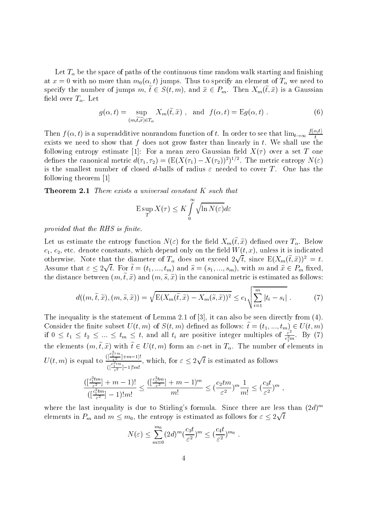Let  $T_{\alpha}$  be the space of paths of the continuous time random walk starting and finishing at  $x = 0$  with no more than  $m_0(\alpha, t)$  jumps. Thus to specify an element of  $T_\alpha$  we need to specify the number of jumps  $m, \tilde{t} \in S(t, m)$ , and  $\tilde{x} \in P_m$ . Then  $X_m(\tilde{t}, \tilde{x})$  is a Gaussian field over  $T_{\alpha}$ . Let

$$
g(\alpha, t) = \sup_{(m,\tilde{t},\tilde{x}) \in T_{\alpha}} X_m(\tilde{t}, \tilde{x}) , \text{ and } f(\alpha, t) = \mathcal{E}g(\alpha, t) .
$$
 (6)

Then  $f(\alpha, t)$  is a superadditive nonrandom function of t. In order to see that  $\lim_{t\to\infty}\frac{f(\alpha,t)}{t}$ exists we need to show that  $f$  does not grow faster than linearly in  $t$ . We shall use the following entropy estimate [1]: For a mean zero Gaussian field  $X(\tau)$  over a set T one defines the canonical metric  $d(\tau_1, \tau_2) = (E(X(\tau_1) - X(\tau_2)))^2$ . The metric entropy  $N(\varepsilon)$ is the smallest number of closed d-balls of radius  $\varepsilon$  needed to cover T. One has the following theorem  $[1]$ 

**Theorem 2.1** There exists a universal constant K such that

$$
\mathop{\rm E\,sup}_{T} X(\tau) \leq K \int_{0}^{\infty} \sqrt{\ln N(\varepsilon)} d\varepsilon
$$

provided that the RHS is finite.

Let us estimate the entropy function  $N(\varepsilon)$  for the field  $X_m(\tilde{t}, \tilde{x})$  defined over  $T_\alpha$ . Below  $c_1, c_2$ , etc. denote constants, which depend only on the field  $W(t, x)$ , unless it is indicated otherwise. Note that the diameter of  $T_{\alpha}$  does not exceed  $2\sqrt{t}$ , since  $E(X_m(\tilde{t},\tilde{x}))^2 = t$ . Assume that  $\varepsilon \leq 2\sqrt{t}$ . For  $\tilde{t} = (t_1, ..., t_m)$  and  $\tilde{s} = (s_1, ..., s_m)$ , with m and  $\tilde{x} \in P_m$  fixed, the distance between  $(m, \tilde{t}, \tilde{x})$  and  $(m, \tilde{s}, \tilde{x})$  in the canonical metric is estimated as follows:

$$
d((m,\tilde{t},\tilde{x}),(m,\tilde{s},\tilde{x})) = \sqrt{\mathcal{E}(X_m(\tilde{t},\tilde{x}) - X_m(\tilde{s},\tilde{x}))^2} \le c_1 \sqrt{\sum_{i=1}^m |t_i - s_i|}. \tag{7}
$$

The inequality is the statement of Lemma 2.1 of [3], it can also be seen directly from  $(4)$ . Consider the finite subset  $U(t, m)$  of  $S(t, m)$  defined as follows:  $\tilde{t} = (t_1, ..., t_m) \in U(t, m)$ <br>if  $0 \le t_1 \le t_2 \le ... \le t_m \le t$ , and all  $t_i$  are positive integer multiples of  $\frac{\varepsilon^2}{c_1^2 m}$ . By (7) the elements  $(m, \tilde{t}, \tilde{x})$  with  $\tilde{t} \in U(t,m)$  form an  $\varepsilon$ -net in  $T_{\alpha}$ . The number of elements in  $U(t, m)$  is equal to  $\frac{\binom{c_1^2tm}{\varepsilon^2} + m - 1!}{\binom{c_1^2tm}{\varepsilon} - 1!m!}$ , which, for  $\varepsilon \leq 2\sqrt{t}$  is estimated as follows  $\frac{(\lceil \frac{c_1^2tm}{\varepsilon^2}\rceil+m-1)!}{(\lceil \frac{c_1^2tm}{\varepsilon^2}\rceil-1)!m!}\leq \frac{(\lceil \frac{c_1^2tm}{\varepsilon^2}\rceil+m-1)^m}{m!}\leq (\frac{c_2tm}{\varepsilon^2})^m\frac{1}{m!}\leq (\frac{c_3t}{\varepsilon^2})^m\ ,$ 

where the last inequality is due to Stirling's formula. Since there are less than  $(2d)^m$ elements in  $P_m$  and  $m \leq m_0$ , the entropy is estimated as follows for  $\varepsilon \leq 2\sqrt{t}$ 

$$
N(\varepsilon) \le \sum_{m=0}^{m_0} (2d)^m \left(\frac{c_3 t}{\varepsilon^2}\right)^m \le \left(\frac{c_4 t}{\varepsilon^2}\right)^{m_0}
$$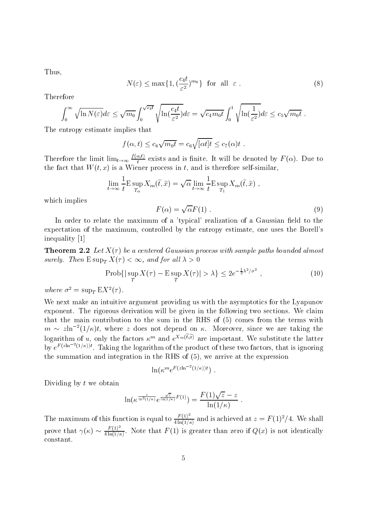Thus.

$$
N(\varepsilon) \le \max\{1, \left(\frac{c_4 t}{\varepsilon^2}\right)^{m_0}\} \quad \text{for all} \quad \varepsilon \; . \tag{8}
$$

Therefore

$$
\int_0^\infty \sqrt{\ln N(\varepsilon)} d\varepsilon \leq \sqrt{m_0} \int_0^{\sqrt{c_4 t}} \sqrt{\ln(\frac{c_4 t}{\varepsilon^2})} d\varepsilon = \sqrt{c_4 m_0 t} \int_0^1 \sqrt{\ln(\frac{1}{\varepsilon^2})} d\varepsilon \leq c_5 \sqrt{m_0 t}
$$

The entropy estimate implies that

$$
f(\alpha, t) \leq c_6 \sqrt{m_0 t} = c_6 \sqrt{[\alpha t] t} \leq c_7(\alpha) t.
$$

Therefore the limit  $\lim_{t\to\infty}\frac{f(\alpha,t)}{t}$  exists and is finite. It will be denoted by  $F(\alpha)$ . Due to the fact that  $W(t, x)$  is a Wiener process in t, and is therefore self-similar,

$$
\lim_{t \to \infty} \frac{1}{t} \mathcal{E} \sup_{T_{\alpha}} X_m(\tilde{t}, \tilde{x}) = \sqrt{\alpha} \lim_{t \to \infty} \frac{1}{t} \mathcal{E} \sup_{T_1} X_m(\tilde{t}, \tilde{x}) ,
$$

which implies

$$
F(\alpha) = \sqrt{\alpha} F(1) . \tag{9}
$$

In order to relate the maximum of a 'typical' realization of a Gaussian field to the expectation of the maximum, controlled by the entropy estimate, one uses the Borell's inequality  $[1]$ 

**Theorem 2.2** Let  $X(\tau)$  be a centered Gaussian process with sample paths bounded almost surely. Then  $E \sup_{T} X(\tau) < \infty$ , and for all  $\lambda > 0$ 

$$
\text{Prob}\{|\sup_{T} X(\tau) - \mathbb{E}\sup_{T} X(\tau)| > \lambda\} \le 2e^{-\frac{1}{2}\lambda^2/\sigma^2},\tag{10}
$$

where  $\sigma^2 = \sup_T E X^2(\tau)$ .

We next make an intuitive argument providing us with the asymptotics for the Lyapunov exponent. The rigorous derivation will be given in the following two sections. We claim that the main contribution to the sum in the RHS of (5) comes from the terms with  $m \sim z \ln^{-2}(1/\kappa)t$ , where z does not depend on  $\kappa$ . Moreover, since we are taking the logarithm of u, only the factors  $\kappa^m$  and  $e^{X_m(\tilde{t},\tilde{x})}$  are important. We substitute the latter by  $e^{F(z\ln^{-2}(1/\kappa))t}$ . Taking the logarithm of the product of these two factors, that is ignoring the summation and integration in the RHS of  $(5)$ , we arrive at the expression

$$
\ln(\kappa^m e^{F(z\ln^{-2}(1/\kappa))t})
$$

Dividing by  $t$  we obtain

$$
\ln(\kappa^{\frac{z}{\ln^2(1/\kappa)}}e^{\frac{\sqrt{z}}{\ln(1/\kappa)}F(1)}) = \frac{F(1)\sqrt{z}-z}{\ln(1/\kappa)}
$$

The maximum of this function is equal to  $\frac{F(1)^2}{4 \ln(1/\kappa)}$  and is achieved at  $z = F(1)^2/4$ . We shall prove that  $\gamma(\kappa) \sim \frac{F(1)^2}{4 \ln(1/\kappa)}$ . Note that  $F(1)$  is greater than zero if  $Q(x)$  is not identically constant.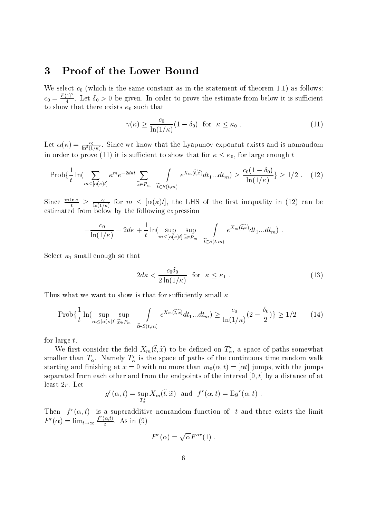#### **Proof of the Lower Bound** 3

We select  $c_0$  (which is the same constant as in the statement of theorem 1.1) as follows:  $c_0 = \frac{F(1)^2}{4}$ . Let  $\delta_0 > 0$  be given. In order to prove the estimate from below it is sufficient to show that there exists  $\kappa_0$  such that

$$
\gamma(\kappa) \ge \frac{c_0}{\ln(1/\kappa)} (1 - \delta_0) \quad \text{for} \quad \kappa \le \kappa_0 \tag{11}
$$

Let  $\alpha(\kappa) = \frac{c_0}{\ln^2(1/\kappa)}$ . Since we know that the Lyapunov exponent exists and is nonrandom in order to prove (11) it is sufficient to show that for  $\kappa \leq \kappa_0$ , for large enough t

$$
\text{Prob}\{\frac{1}{t}\ln\left(\sum_{m\leq\left[\alpha\left(\kappa\right)t\right]}\kappa^{m}e^{-2d\kappa t}\sum_{\widetilde{x}\in P_{m}}\int\limits_{\widetilde{t}\in S(t,m)}e^{X_{m}\left(\widetilde{t},\widetilde{x}\right)}dt_{1}...dt_{m}\right)\geq\frac{c_{0}\left(1-\delta_{0}\right)}{\ln(1/\kappa)}\}\geq1/2\text{ . (12)}
$$

Since  $\frac{m \ln \kappa}{t} \ge \frac{-c_0}{\ln(1/\kappa)}$  for  $m \le [\alpha(\kappa)t]$ , the LHS of the first inequality in (12) can be estimated from below by the following expression

$$
-\frac{c_0}{\ln(1/\kappa)} - 2d\kappa + \frac{1}{t}\ln(\sup_{m \leq [\alpha(\kappa)t]} \sup_{\widetilde{x} \in P_m} \int_{\widetilde{t} \in S(t,m)} e^{X_m(\widetilde{t},\widetilde{x})} dt_1...dt_m)
$$

Select  $\kappa_1$  small enough so that

$$
2d\kappa < \frac{c_0 \delta_0}{2\ln(1/\kappa)} \quad \text{for} \quad \kappa \le \kappa_1 \tag{13}
$$

Thus what we want to show is that for sufficiently small  $\kappa$ 

$$
\text{Prob}\{\frac{1}{t}\ln(\sup_{m\leq[\alpha(\kappa)t]}\sup_{\widetilde{x}\in P_m}\int\limits_{\widetilde{t}\in S(t,m)}e^{X_m(\widetilde{t},\widetilde{x})}dt_1...dt_m)\geq\frac{c_0}{\ln(1/\kappa)}(2-\frac{\delta_0}{2})\}\geq 1/2\tag{14}
$$

for large  $t$ .

We first consider the field  $X_m(\tilde{t}, \tilde{x})$  to be defined on  $T_{\alpha}^r$ , a space of paths somewhat smaller than  $T_{\alpha}$ . Namely  $T_{\alpha}^{r}$  is the space of paths of the continuous time random walk starting and finishing at  $x = 0$  with no more than  $m_0(\alpha, t) = [\alpha t]$  jumps, with the jumps separated from each other and from the endpoints of the interval  $[0, t]$  by a distance of at least  $2r$ . Let

$$
g^r(\alpha, t) = \sup_{T_\alpha^r} X_m(\tilde{t}, \tilde{x})
$$
 and  $f^r(\alpha, t) = Eg^r(\alpha, t)$ .

Then  $f^r(\alpha, t)$  is a superadditive nonrandom function of t and there exists the limit  $F^r(\alpha) = \lim_{t \to \infty} \frac{f^r(\alpha, t)}{t}$ . As in (9)

$$
F^r(\alpha) = \sqrt{\alpha} F^{\alpha r}(1)
$$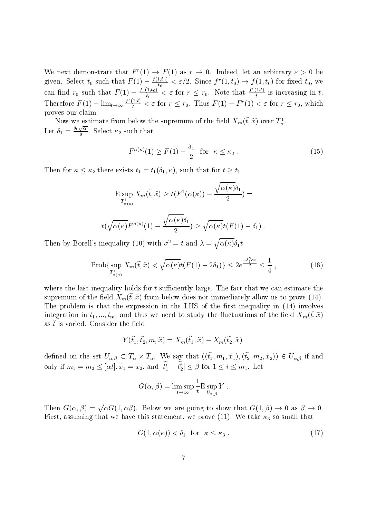We next demonstrate that  $F'(1) \to F(1)$  as  $r \to 0$ . Indeed, let an arbitrary  $\varepsilon > 0$  be given. Select  $t_0$  such that  $F(1) - \frac{f(1,t_0)}{t_0} < \varepsilon/2$ . Since  $f^r(1,t_0) \to f(1,t_0)$  for fixed  $t_0$ , we<br>can find  $r_0$  such that  $F(1) - \frac{f^r(1,t_0)}{t_0} < \varepsilon$  for  $r \le r_0$ . Note that  $\frac{f^r(1,t)}{t}$  is increasing in t proves our claim.

Now we estimate from below the supremum of the field  $X_m(\tilde{t}, \tilde{x})$  over  $T^1_{\alpha}$ . Let  $\delta_1 = \frac{\delta_0 \sqrt{c_0}}{8}$ . Select  $\kappa_2$  such that

$$
F^{\alpha(\kappa)}(1) \ge F(1) - \frac{\delta_1}{2} \quad \text{for} \quad \kappa \le \kappa_2 \tag{15}
$$

Then for  $\kappa \leq \kappa_2$  there exists  $t_1 = t_1(\delta_1, \kappa)$ , such that for  $t \geq t_1$ 

$$
\mathcal{E} \sup_{T_{\alpha(\kappa)}^1} X_m(\tilde{t}, \tilde{x}) \ge t(F^1(\alpha(\kappa)) - \frac{\sqrt{\alpha(\kappa)}\delta_1}{2}) =
$$

$$
t(\sqrt{\alpha(\kappa)}F^{\alpha(\kappa)}(1)-\frac{\sqrt{\alpha(\kappa)}\delta_1}{2})\geq \sqrt{\alpha(\kappa)}t(F(1)-\delta_1).
$$

Then by Borell's inequality (10) with  $\sigma^2 = t$  and  $\lambda = \sqrt{\alpha(\kappa)} \delta_1 t$ 

$$
\text{Prob}\{\sup_{T_{\alpha(\kappa)}^1} X_m(\tilde{t}, \tilde{x}) < \sqrt{\alpha(\kappa)}t(F(1) - 2\delta_1)\} \le 2e^{\frac{-\delta_1^2 \alpha t}{2}} \le \frac{1}{4},\tag{16}
$$

where the last inequality holds for  $t$  sufficiently large. The fact that we can estimate the supremum of the field  $X_m(\tilde{t}, \tilde{x})$  from below does not immediately allow us to prove (14). The problem is that the expression in the LHS of the first inequality in (14) involves integration in  $t_1, ..., t_m$ , and thus we need to study the fluctuations of the field  $X_m(\tilde{t}, \tilde{x})$ as  $\tilde{t}$  is varied. Consider the field

$$
Y(\tilde{t}_1, \tilde{t}_2, m, \tilde{x}) = X_m(\tilde{t}_1, \tilde{x}) - X_m(\tilde{t}_2, \tilde{x})
$$

defined on the set  $U_{\alpha,\beta} \subset T_\alpha \times T_\alpha$ . We say that  $((\tilde{t}_1, m_1, \tilde{x}_1), (\tilde{t}_2, m_2, \tilde{x}_2)) \in U_{\alpha,\beta}$  if and only if  $m_1 = m_2 \leq [\alpha t], \widetilde{x_1} = \widetilde{x_2}$ , and  $|\widetilde{t_1} - \widetilde{t_2}| \leq \beta$  for  $1 \leq i \leq m_1$ . Let

$$
G(\alpha, \beta) = \limsup_{t \to \infty} \frac{1}{t} E \sup_{U_{\alpha, \beta}} Y.
$$

Then  $G(\alpha, \beta) = \sqrt{\alpha} G(1, \alpha \beta)$ . Below we are going to show that  $G(1, \beta) \to 0$  as  $\beta \to 0$ . First, assuming that we have this statement, we prove (11). We take  $\kappa_3$  so small that

$$
G(1, \alpha(\kappa)) < \delta_1 \quad \text{for} \quad \kappa \le \kappa_3 \tag{17}
$$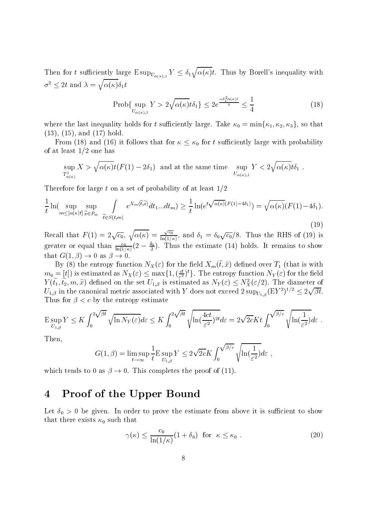Then for t sufficiently large  $E \sup_{U_{\alpha(\kappa),1}} Y \leq \delta_1 \sqrt{\alpha(\kappa)} t$ . Thus by Borell's inequality with  $\sigma^2 \leq 2t$  and  $\lambda = \sqrt{\alpha(\kappa)\delta_1 t}$ 

$$
\text{Prob}\{\sup_{U_{\alpha(\kappa),1}} Y > 2\sqrt{\alpha(\kappa)}t\delta_1\} \le 2e^{\frac{-\delta_1^2 \alpha(\kappa)t}{4}} \le \frac{1}{4} \tag{18}
$$

where the last inequality holds for t sufficiently large. Take  $\kappa_0 = \min{\kappa_1, \kappa_2, \kappa_3}$ , so that  $(13)$ ,  $(15)$ , and  $(17)$  hold.

From (18) and (16) it follows that for  $\kappa \leq \kappa_0$  for t sufficiently large with probability of at least  $1/2$  one has

$$
\sup_{T^1_{\alpha(\kappa)}} X > \sqrt{\alpha(\kappa)} t(F(1) - 2\delta_1) \text{ and at the same time } \sup_{U_{\alpha(\kappa),1}} Y < 2\sqrt{\alpha(\kappa)} t \delta_1.
$$

Therefore for large t on a set of probability of at least  $1/2$ 

$$
\frac{1}{t}\ln(\sup_{m\leq[\alpha(\kappa)t]}\sup_{\widetilde{x}\in P_m}\int_{\widetilde{t}\in S(t,m)}e^{X_m(\widetilde{t},\widetilde{x})}dt_1...dt_m)\geq\frac{1}{t}\ln(e^{t\sqrt{\alpha(\kappa)}(F(1)-4\delta_1)})=\sqrt{\alpha(\kappa)}(F(1)-4\delta_1).
$$
\n(19)

Recall that  $F(1) = 2\sqrt{c_0}$ ,  $\sqrt{\alpha(\kappa)} = \frac{\sqrt{c_0}}{\ln(1/\kappa)}$ , and  $\delta_1 = \delta_0 \sqrt{c_0}/8$ . Thus the RHS of (19) is greater or equal than  $\frac{c_0}{\ln(1/\kappa)}(2-\frac{\delta_0}{2})$ . Thus the estimate (14) holds. It remains to show that  $G(1,\beta) \to 0$  as  $\beta \to 0$ 

By (8) the entropy function  $N_X(\varepsilon)$  for the field  $X_m(\tilde{t},\tilde{x})$  defined over  $T_1$  (that is with  $m_0 = [t]$  is estimated as  $N_X(\varepsilon) \leq \max\{1, (\frac{ct}{\varepsilon^2})^t\}.$  The entropy function  $N_Y(\varepsilon)$  for the field  $Y(\tilde{t}_1, \tilde{t}_2, m, \tilde{x})$  defined on the set  $U_{1,\beta}$  is estimated as  $N_Y(\varepsilon) \leq N_X^2(\varepsilon/2)$ . The diameter of  $U_{1,\beta}$  in the canonical metric associated with Y does not exceed  $2 \sup_{U_{1,\beta}} (EY^2)^{1/2} \leq 2\sqrt{\beta t}$ . Thus for  $\beta < c$  by the entropy estimate

$$
\mathcal{E} \sup_{U_{1,\beta}} Y \leq K \int_0^{2\sqrt{\beta t}} \sqrt{\ln N_Y(\varepsilon)} d\varepsilon \leq K \int_0^{2\sqrt{\beta t}} \sqrt{\ln(\frac{4ct}{\varepsilon^2})^{2t}} d\varepsilon = 2\sqrt{2c}Kt \int_0^{\sqrt{\beta/c}} \sqrt{\ln(\frac{1}{\varepsilon^2})} d\varepsilon.
$$

Then.

$$
G(1, \beta) = \limsup_{t \to \infty} \frac{1}{t} \mathcal{E} \sup_{U_{1, \beta}} Y \le 2\sqrt{2c} K \int_0^{\sqrt{\beta/c}} \sqrt{\ln(\frac{1}{\varepsilon^2})} d\varepsilon ,
$$

which tends to 0 as  $\beta \rightarrow 0$ . This completes the proof of (11).

#### Proof of the Upper Bound  $\boldsymbol{\Lambda}$

Let  $\delta_0 > 0$  be given. In order to prove the estimate from above it is sufficient to show that there exists  $\kappa_0$  such that

$$
\gamma(\kappa) \le \frac{c_0}{\ln(1/\kappa)} (1 + \delta_0) \quad \text{for} \quad \kappa \le \kappa_0 \tag{20}
$$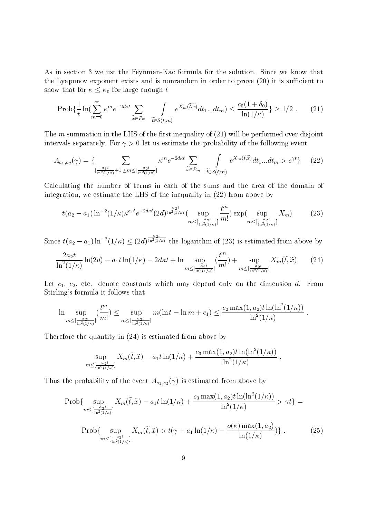As in section 3 we ust the Fevnman-Kac formula for the solution. Since we know that the Lyapunov exponent exists and is nonrandom in order to prove (20) it is sufficient to show that for  $\kappa \leq \kappa_0$  for large enough t

$$
\text{Prob}\{\frac{1}{t}\ln(\sum_{m=0}^{\infty}\kappa^{m}e^{-2d\kappa t}\sum_{\widetilde{x}\in P_{m}}\int_{\widetilde{t}\in S(t,m)}e^{X_{m}(\widetilde{t},\widetilde{x})}dt_{1}...dt_{m})\leq \frac{c_{0}(1+\delta_{0})}{\ln(1/\kappa)}\}\geq 1/2.
$$
 (21)

The m summation in the LHS of the first inequality of  $(21)$  will be performed over disjoint intervals separately. For  $\gamma > 0$  let us estimate the probability of the following event

$$
A_{a_1,a_2}(\gamma) = \left\{ \sum_{\substack{\frac{a_1t}{\ln^2(1/\kappa)} + 1 \le m \le [\frac{a_2t}{\ln^2(1/\kappa)}]}} \kappa^m e^{-2d\kappa t} \sum_{\widetilde{x} \in P_m} \int_{\widetilde{t} \in S(t,m)} e^{X_m(\widetilde{t},\widetilde{x})} dt_1...dt_m > e^{\gamma t} \right\}
$$
(22)

Calculating the number of terms in each of the sums and the area of the domain of integration, we estimate the LHS of the inequality in (22) from above by

$$
t(a_2 - a_1) \ln^{-2}(1/\kappa) \kappa^{a_1 t} e^{-2d\kappa t} (2d)^{\frac{a_2 t}{\ln^2(1/\kappa)}} \left( \sup_{m \leq \left[\frac{a_2 t}{\ln^2(1/\kappa)}\right]} \frac{t^m}{m!} \right) \exp\left( \sup_{m \leq \left[\frac{a_2 t}{\ln^2(1/\kappa)}\right]} X_m \right) \tag{23}
$$

Since  $t(a_2-a_1)\ln^{-2}(1/\kappa) \leq (2d)^{\frac{a_2t}{\ln^2(1/\kappa)}}$  the logarithm of (23) is estimated from above by

$$
\frac{2a_2t}{\ln^2(1/\kappa)}\ln(2d) - a_1t\ln(1/\kappa) - 2d\kappa t + \ln\sup_{m \leq \left[\frac{a_2t}{\ln^2(1/\kappa)}\right]}(\frac{t^m}{m!}) + \sup_{m \leq \left[\frac{a_2t}{\ln^2(1/\kappa)}\right]} X_m(\tilde{t},\tilde{x}), \quad (24)
$$

Let  $c_1$ ,  $c_2$ , etc. denote constants which may depend only on the dimension  $d$ . From Stirling's formula it follows that

$$
\ln \sup_{m \leq \left[\frac{a_2 t}{\ln^2(1/\kappa)}\right]} \left(\frac{t^m}{m!}\right) \leq \sup_{m \leq \left[\frac{a_2 t}{\ln^2(1/\kappa)}\right]} m(\ln t - \ln m + c_1) \leq \frac{c_2 \max(1, a_2) t \ln(\ln^2(1/\kappa))}{\ln^2(1/\kappa)}
$$

Therefore the quantity in  $(24)$  is estimated from above by

$$
\sup_{m \leq [\frac{a_2 t}{\ln^2(1/\kappa)}]} X_m(\tilde{t}, \tilde{x}) - a_1 t \ln(1/\kappa) + \frac{c_3 \max(1, a_2) t \ln(\ln^2(1/\kappa))}{\ln^2(1/\kappa)}
$$

 $\cdot$ 

Thus the probability of the event  $A_{a_1,a_2}(\gamma)$  is estimated from above by

$$
\text{Prob}\{\sup_{m \leq \left[\frac{a_2 t}{\ln^2(1/\kappa)}\right]} X_m(\tilde{t}, \tilde{x}) - a_1 t \ln(1/\kappa) + \frac{c_3 \max(1, a_2) t \ln(\ln^2(1/\kappa))}{\ln^2(1/\kappa)} > \gamma t\} =
$$
\n
$$
\text{Prob}\{\sup_{m \leq \left[\frac{a_2 t}{\ln^2(1/\kappa)}\right]} X_m(\tilde{t}, \tilde{x}) > t(\gamma + a_1 \ln(1/\kappa) - \frac{o(\kappa) \max(1, a_2)}{\ln(1/\kappa)})\}.
$$
\n(25)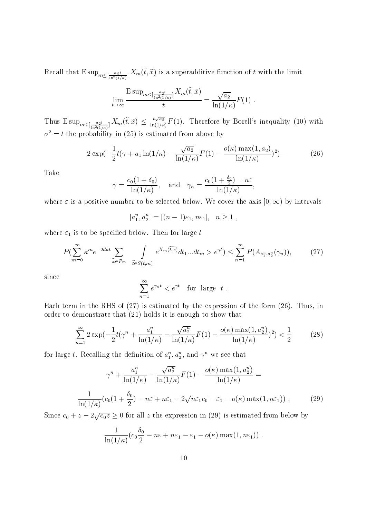Recall that  $E \sup_{m \leq \lfloor \frac{a_2 t}{\ln^2(1/\kappa)} \rfloor} X_m(\tilde{t}, \tilde{x})$  is a superadditive function of t with the limit

$$
\lim_{t \to \infty} \frac{\mathrm{E} \sup_{m \leq [\frac{a_2 t}{\ln^2(1/\kappa)}]} X_m(\tilde{t}, \tilde{x})}{t} = \frac{\sqrt{a_2}}{\ln(1/\kappa)} F(1) .
$$

Thus  $E \sup_{m \leq \lfloor \frac{a_2 t}{\ln^2(1/\kappa)} \rfloor} X_m(\tilde{t}, \tilde{x}) \leq \frac{t \sqrt{a_2}}{\ln(1/\kappa)} F(1)$ . Therefore by Borell's inequality (10) with  $\sigma^2 = t$  the probability in (25) is estimated from above by

$$
2\exp(-\frac{1}{2}t(\gamma + a_1\ln(1/\kappa) - \frac{\sqrt{a_2}}{\ln(1/\kappa)}F(1) - \frac{o(\kappa)\max(1, a_2)}{\ln(1/\kappa)})^2)
$$
 (26)

Take

$$
\gamma = \frac{c_0(1+\delta_0)}{\ln(1/\kappa)}, \quad \text{and} \quad \gamma_n = \frac{c_0(1+\frac{\delta_0}{2}) - n\varepsilon}{\ln(1/\kappa)},
$$

where  $\varepsilon$  is a positive number to be selected below. We cover the axis  $[0, \infty)$  by intervals

$$
[a_1^n, a_2^n] = [(n-1)\varepsilon_1, n\varepsilon_1], \quad n \ge 1,
$$

where  $\varepsilon_1$  is to be specified below. Then for large t

$$
P(\sum_{m=0}^{\infty} \kappa^m e^{-2d\kappa t} \sum_{\widetilde{x} \in P_m} \int_{\widetilde{t} \in S(t,m)} e^{X_m(\widetilde{t},\widetilde{x})} dt_1...dt_m > e^{\gamma t}) \le \sum_{n=1}^{\infty} P(A_{a_1^n, a_2^n}(\gamma_n)),\tag{27}
$$

since

$$
\sum_{n=1}^{\infty} e^{\gamma_n t} < e^{\gamma t} \quad \text{for large } t \; .
$$

Each term in the RHS of  $(27)$  is estimated by the expression of the form  $(26)$ . Thus, in order to demonstrate that  $(21)$  holds it is enough to show that

$$
\sum_{n=1}^{\infty} 2 \exp\left(-\frac{1}{2}t\left(\gamma^{n} + \frac{a_1^{n}}{\ln(1/\kappa)} - \frac{\sqrt{a_2^{n}}}{\ln(1/\kappa)}F(1) - \frac{o(\kappa)\max(1, a_2^{n})}{\ln(1/\kappa)}\right)^{2}\right) < \frac{1}{2} \tag{28}
$$

for large t. Recalling the definition of  $a_1^n, a_2^n$ , and  $\gamma^n$  we see that

$$
\gamma^{n} + \frac{a_{1}^{n}}{\ln(1/\kappa)} - \frac{\sqrt{a_{2}^{n}}}{\ln(1/\kappa)} F(1) - \frac{o(\kappa) \max(1, a_{2}^{n})}{\ln(1/\kappa)} =
$$

$$
\frac{1}{\ln(1/\kappa)} (c_{0}(1 + \frac{\delta_{0}}{2}) - n\varepsilon + n\varepsilon_{1} - 2\sqrt{n\varepsilon_{1}c_{0}} - \varepsilon_{1} - o(\kappa) \max(1, n\varepsilon_{1})) . \tag{29}
$$

Since  $c_0 + z - 2\sqrt{c_0 z} \ge 0$  for all z the expression in (29) is estimated from below by

$$
\frac{1}{\ln(1/\kappa)}(c_0\frac{\delta_0}{2} - n\varepsilon + n\varepsilon_1 - \varepsilon_1 - o(\kappa)\max(1, n\varepsilon_1))
$$